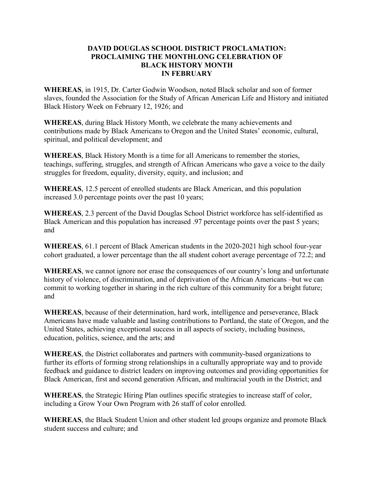## **DAVID DOUGLAS SCHOOL DISTRICT PROCLAMATION: PROCLAIMING THE MONTHLONG CELEBRATION OF BLACK HISTORY MONTH IN FEBRUARY**

**WHEREAS**, in 1915, Dr. Carter Godwin Woodson, noted Black scholar and son of former slaves, founded the Association for the Study of African American Life and History and initiated Black History Week on February 12, 1926; and

**WHEREAS**, during Black History Month, we celebrate the many achievements and contributions made by Black Americans to Oregon and the United States' economic, cultural, spiritual, and political development; and

**WHEREAS**, Black History Month is a time for all Americans to remember the stories, teachings, suffering, struggles, and strength of African Americans who gave a voice to the daily struggles for freedom, equality, diversity, equity, and inclusion; and

**WHEREAS**, 12.5 percent of enrolled students are Black American, and this population increased 3.0 percentage points over the past 10 years;

**WHEREAS**, 2.3 percent of the David Douglas School District workforce has self-identified as Black American and this population has increased .97 percentage points over the past 5 years; and

**WHEREAS**, 61.1 percent of Black American students in the 2020-2021 high school four-year cohort graduated, a lower percentage than the all student cohort average percentage of 72.2; and

**WHEREAS**, we cannot ignore nor erase the consequences of our country's long and unfortunate history of violence, of discrimination, and of deprivation of the African Americans –but we can commit to working together in sharing in the rich culture of this community for a bright future; and

**WHEREAS**, because of their determination, hard work, intelligence and perseverance, Black Americans have made valuable and lasting contributions to Portland, the state of Oregon, and the United States, achieving exceptional success in all aspects of society, including business, education, politics, science, and the arts; and

**WHEREAS**, the District collaborates and partners with community-based organizations to further its efforts of forming strong relationships in a culturally appropriate way and to provide feedback and guidance to district leaders on improving outcomes and providing opportunities for Black American, first and second generation African, and multiracial youth in the District; and

**WHEREAS**, the Strategic Hiring Plan outlines specific strategies to increase staff of color, including a Grow Your Own Program with 26 staff of color enrolled.

**WHEREAS**, the Black Student Union and other student led groups organize and promote Black student success and culture; and